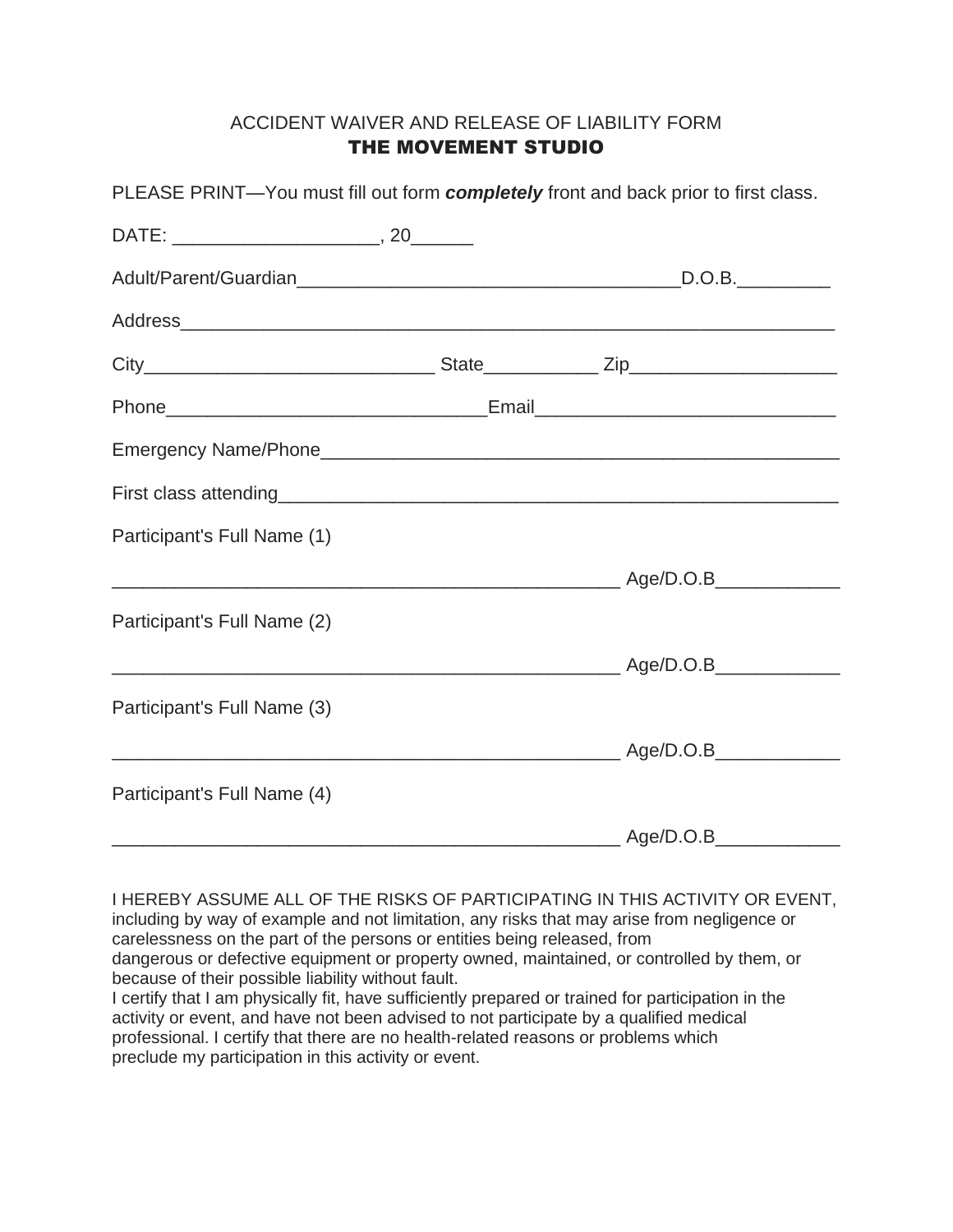## ACCIDENT WAIVER AND RELEASE OF LIABILITY FORM THE MOVEMENT STUDIO

| PLEASE PRINT—You must fill out form <b>completely</b> front and back prior to first class. |  |
|--------------------------------------------------------------------------------------------|--|
|                                                                                            |  |
|                                                                                            |  |
|                                                                                            |  |
|                                                                                            |  |
|                                                                                            |  |
|                                                                                            |  |
|                                                                                            |  |
| Participant's Full Name (1)                                                                |  |
|                                                                                            |  |
| Participant's Full Name (2)                                                                |  |
|                                                                                            |  |
| Participant's Full Name (3)                                                                |  |
|                                                                                            |  |
| Participant's Full Name (4)                                                                |  |
|                                                                                            |  |

I HEREBY ASSUME ALL OF THE RISKS OF PARTICIPATING IN THIS ACTIVITY OR EVENT, including by way of example and not limitation, any risks that may arise from negligence or carelessness on the part of the persons or entities being released, from dangerous or defective equipment or property owned, maintained, or controlled by them, or because of their possible liability without fault. I certify that I am physically fit, have sufficiently prepared or trained for participation in the

activity or event, and have not been advised to not participate by a qualified medical professional. I certify that there are no health-related reasons or problems which preclude my participation in this activity or event.